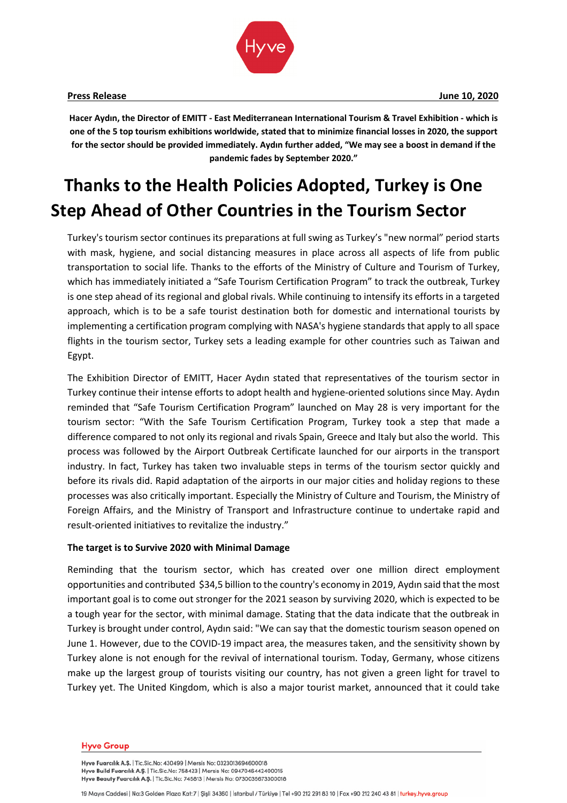

**Hacer Aydın, the Director of EMITT - East Mediterranean International Tourism & Travel Exhibition - which is one of the 5 top tourism exhibitions worldwide, stated that to minimize financial losses in 2020, the support for the sector should be provided immediately. Aydın further added, "We may see a boost in demand if the pandemic fades by September 2020."**

# **Thanks to the Health Policies Adopted, Turkey is One Step Ahead of Other Countries in the Tourism Sector**

Turkey's tourism sector continues its preparations at full swing as Turkey's "new normal" period starts with mask, hygiene, and social distancing measures in place across all aspects of life from public transportation to social life. Thanks to the efforts of the Ministry of Culture and Tourism of Turkey, which has immediately initiated a "Safe Tourism Certification Program" to track the outbreak, Turkey is one step ahead of its regional and global rivals. While continuing to intensify its efforts in a targeted approach, which is to be a safe tourist destination both for domestic and international tourists by implementing a certification program complying with NASA's hygiene standards that apply to all space flights in the tourism sector, Turkey sets a leading example for other countries such as Taiwan and Egypt.

The Exhibition Director of EMITT, Hacer Aydın stated that representatives of the tourism sector in Turkey continue their intense efforts to adopt health and hygiene-oriented solutions since May. Aydın reminded that "Safe Tourism Certification Program" launched on May 28 is very important for the tourism sector: "With the Safe Tourism Certification Program, Turkey took a step that made a difference compared to not only its regional and rivals Spain, Greece and Italy but also the world. This process was followed by the Airport Outbreak Certificate launched for our airports in the transport industry. In fact, Turkey has taken two invaluable steps in terms of the tourism sector quickly and before its rivals did. Rapid adaptation of the airports in our major cities and holiday regions to these processes was also critically important. Especially the Ministry of Culture and Tourism, the Ministry of Foreign Affairs, and the Ministry of Transport and Infrastructure continue to undertake rapid and result-oriented initiatives to revitalize the industry."

### **The target is to Survive 2020 with Minimal Damage**

Reminding that the tourism sector, which has created over one million direct employment opportunities and contributed \$34,5 billion to the country's economy in 2019, Aydın said that the most important goal is to come out stronger for the 2021 season by surviving 2020, which is expected to be a tough year for the sector, with minimal damage. Stating that the data indicate that the outbreak in Turkey is brought under control, Aydın said: "We can say that the domestic tourism season opened on June 1. However, due to the COVID-19 impact area, the measures taken, and the sensitivity shown by Turkey alone is not enough for the revival of international tourism. Today, Germany, whose citizens make up the largest group of tourists visiting our country, has not given a green light for travel to Turkey yet. The United Kingdom, which is also a major tourist market, announced that it could take

#### **Hyve Group**

Hyve Fuarcılık A.Ş. | Tic.Sic.No: 430499 | Mersis No: 0323013694600018 Hyve Build Fuarcılık A.Ş. | Tic.Sic.No: 758423 | Mersis No: 0947046442400015 Hyve Beauty Fuarcilik A.Ş. | Tic.Sic.No: 745813 | Mersis No: 0730035673300018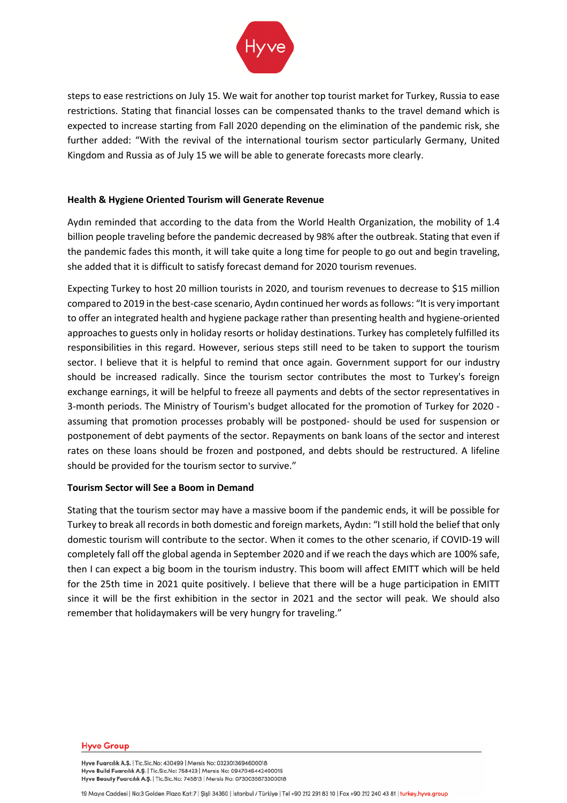

steps to ease restrictions on July 15. We wait for another top tourist market for Turkey, Russia to ease restrictions. Stating that financial losses can be compensated thanks to the travel demand which is expected to increase starting from Fall 2020 depending on the elimination of the pandemic risk, she further added: "With the revival of the international tourism sector particularly Germany, United Kingdom and Russia as of July 15 we will be able to generate forecasts more clearly.

# **Health & Hygiene Oriented Tourism will Generate Revenue**

Aydın reminded that according to the data from the World Health Organization, the mobility of 1.4 billion people traveling before the pandemic decreased by 98% after the outbreak. Stating that even if the pandemic fades this month, it will take quite a long time for people to go out and begin traveling, she added that it is difficult to satisfy forecast demand for 2020 tourism revenues.

Expecting Turkey to host 20 million tourists in 2020, and tourism revenues to decrease to \$15 million compared to 2019 in the best-case scenario, Aydın continued her words as follows: "It is very important to offer an integrated health and hygiene package rather than presenting health and hygiene-oriented approaches to guests only in holiday resorts or holiday destinations. Turkey has completely fulfilled its responsibilities in this regard. However, serious steps still need to be taken to support the tourism sector. I believe that it is helpful to remind that once again. Government support for our industry should be increased radically. Since the tourism sector contributes the most to Turkey's foreign exchange earnings, it will be helpful to freeze all payments and debts of the sector representatives in 3-month periods. The Ministry of Tourism's budget allocated for the promotion of Turkey for 2020 assuming that promotion processes probably will be postponed- should be used for suspension or postponement of debt payments of the sector. Repayments on bank loans of the sector and interest rates on these loans should be frozen and postponed, and debts should be restructured. A lifeline should be provided for the tourism sector to survive."

# **Tourism Sector will See a Boom in Demand**

Stating that the tourism sector may have a massive boom if the pandemic ends, it will be possible for Turkey to break all records in both domestic and foreign markets, Aydın: "I still hold the belief that only domestic tourism will contribute to the sector. When it comes to the other scenario, if COVID-19 will completely fall off the global agenda in September 2020 and if we reach the days which are 100% safe, then I can expect a big boom in the tourism industry. This boom will affect EMITT which will be held for the 25th time in 2021 quite positively. I believe that there will be a huge participation in EMITT since it will be the first exhibition in the sector in 2021 and the sector will peak. We should also remember that holidaymakers will be very hungry for traveling."

#### **Hyve Group**

Hyve Fuarcılık A.Ş. | Tic.Sic.No: 430499 | Mersis No: 0323013694600018 Hyve Build Fuarcılık A.Ş. | Tic.Sic.No: 758423 | Mersis No: 0947046442400015 Hyve Beauty Fuarcilik A.Ş. | Tic.Sic.No: 745813 | Mersis No: 0730035673300018

19 Mayıs Caddesi | No:3 Golden Plaza Kat:7 | Şişli 34360 | İstanbul / Türkiye | Tel +90 212 291 83 10 | Fax +90 212 240 43 81 | turkey.hyve.group